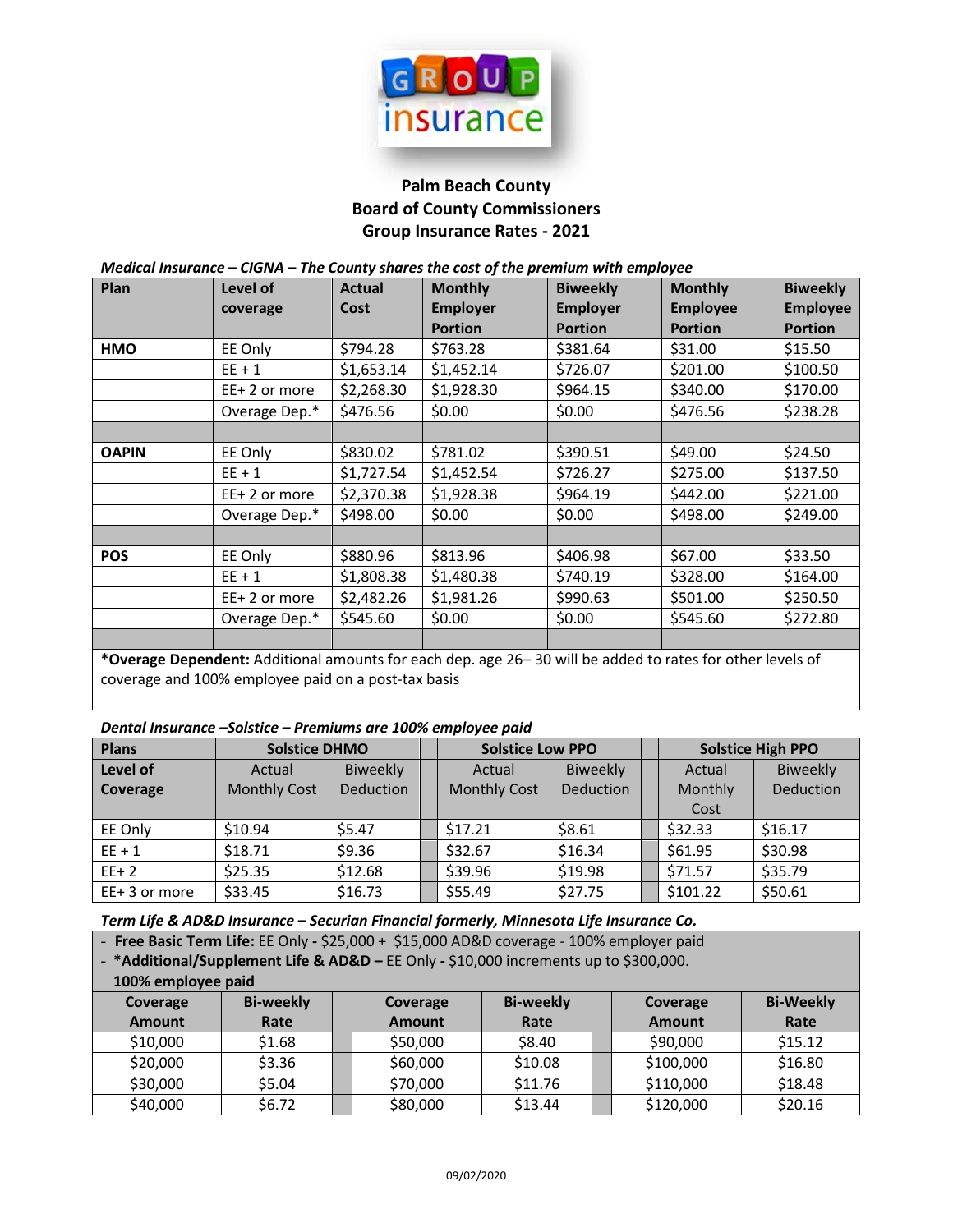

## **Palm Beach County Board of County Commissioners Group Insurance Rates - 2021**

*Medical Insurance – CIGNA – The County shares the cost of the premium with employee*

| Plan         | Level of                                                                                                            | <b>Actual</b> | <b>Monthly</b>  | <b>Biweekly</b> | <b>Monthly</b>  | <b>Biweekly</b> |
|--------------|---------------------------------------------------------------------------------------------------------------------|---------------|-----------------|-----------------|-----------------|-----------------|
|              | coverage                                                                                                            | <b>Cost</b>   | <b>Employer</b> | <b>Employer</b> | <b>Employee</b> | <b>Employee</b> |
|              |                                                                                                                     |               | <b>Portion</b>  | <b>Portion</b>  | <b>Portion</b>  | <b>Portion</b>  |
| <b>HMO</b>   | EE Only                                                                                                             | \$794.28      | \$763.28        | \$381.64        | \$31.00         | \$15.50         |
|              | $EE + 1$                                                                                                            | \$1,653.14    | \$1,452.14      | \$726.07        | \$201.00        | \$100.50        |
|              | EE+2 or more                                                                                                        | \$2,268.30    | \$1,928.30      | \$964.15        | \$340.00        | \$170.00        |
|              | Overage Dep.*                                                                                                       | \$476.56      | \$0.00          | \$0.00          | \$476.56        | \$238.28        |
|              |                                                                                                                     |               |                 |                 |                 |                 |
| <b>OAPIN</b> | EE Only                                                                                                             | \$830.02      | \$781.02        | \$390.51        | \$49.00         | \$24.50         |
|              | $EE + 1$                                                                                                            | \$1,727.54    | \$1,452.54      | \$726.27        | \$275.00        | \$137.50        |
|              | EE+2 or more                                                                                                        | \$2,370.38    | \$1,928.38      | \$964.19        | \$442.00        | \$221.00        |
|              | Overage Dep.*                                                                                                       | \$498.00      | \$0.00          | \$0.00          | \$498.00        | \$249.00        |
|              |                                                                                                                     |               |                 |                 |                 |                 |
| <b>POS</b>   | EE Only                                                                                                             | \$880.96      | \$813.96        | \$406.98        | \$67.00         | \$33.50         |
|              | $EE + 1$                                                                                                            | \$1,808.38    | \$1,480.38      | \$740.19        | \$328.00        | \$164.00        |
|              | $EE+2$ or more                                                                                                      | \$2,482.26    | \$1,981.26      | \$990.63        | \$501.00        | \$250.50        |
|              | Overage Dep.*                                                                                                       | \$545.60      | \$0.00          | \$0.00          | \$545.60        | \$272.80        |
|              |                                                                                                                     |               |                 |                 |                 |                 |
|              | *Our and Demonderate Additional approximate for a solid dame are 20 - 20 will be added to make a family be adjoined |               |                 |                 |                 |                 |

**\*Overage Dependent:** Additional amounts for each dep. age 26– 30 will be added to rates for other levels of coverage and 100% employee paid on a post-tax basis

| <b>Plans</b>   | <b>Solstice DHMO</b> |                  |  | <b>Solstice Low PPO</b> |           |  | <b>Solstice High PPO</b> |           |  |
|----------------|----------------------|------------------|--|-------------------------|-----------|--|--------------------------|-----------|--|
| Level of       | Actual               | <b>Biweekly</b>  |  | Actual                  | Biweekly  |  | Actual                   | Biweekly  |  |
| Coverage       | <b>Monthly Cost</b>  | <b>Deduction</b> |  | <b>Monthly Cost</b>     | Deduction |  | Monthly                  | Deduction |  |
|                |                      |                  |  |                         |           |  | Cost                     |           |  |
| EE Only        | \$10.94              | \$5.47           |  | \$17.21                 | \$8.61    |  | \$32.33                  | \$16.17   |  |
| $EE + 1$       | \$18.71              | \$9.36           |  | \$32.67                 | \$16.34   |  | \$61.95                  | \$30.98   |  |
| $EE+2$         | \$25.35              | \$12.68          |  | \$39.96                 | \$19.98   |  | \$71.57                  | \$35.79   |  |
| $EE+3$ or more | \$33.45              | \$16.73          |  | \$55.49                 | \$27.75   |  | \$101.22                 | \$50.61   |  |

*Term Life & AD&D Insurance – Securian Financial formerly, Minnesota Life Insurance Co.*

- **Free Basic Term Life:** EE Only **-** \$25,000 + \$15,000 AD&D coverage - 100% employer paid

- **\*Additional/Supplement Life & AD&D –** EE Only **-** \$10,000 increments up to \$300,000.

**100% employee paid Coverage Amount Bi-weekly Rate Coverage Amount Bi-weekly Rate Coverage Amount Bi-Weekly Rate** \$10,000 | \$1.68 || \$50,000 | \$8.40 || \$90,000 | \$15.12 \$20,000 | \$3.36 || \$60,000 | \$10.08 || \$100,000 | \$16.80 \$30,000 | \$5.04 || \$70,000 | \$11.76 || \$110,000 | \$18.48 \$40,000 | \$6.72 || \$80,000 | \$13.44 || \$120,000 | \$20.16